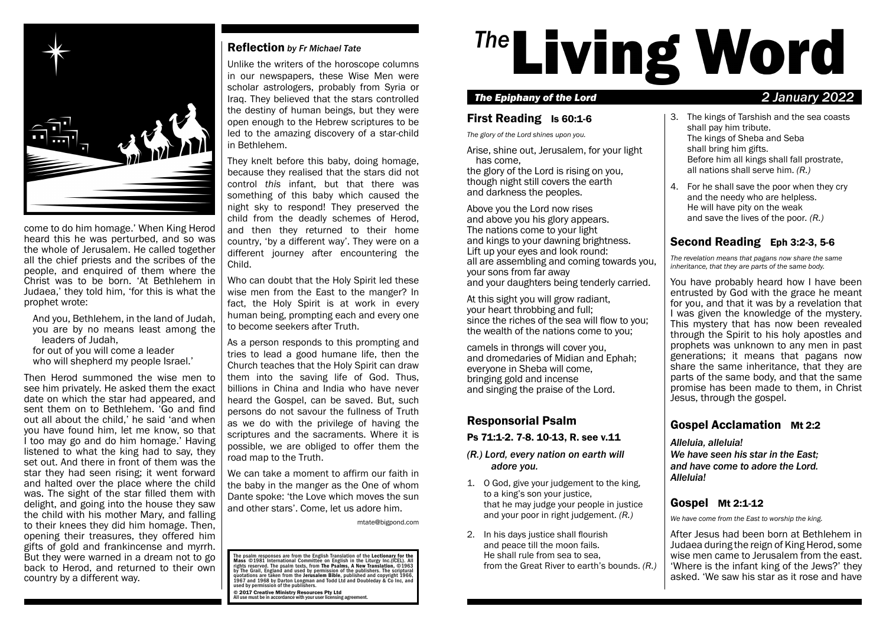

come to do him homage.' When King Herod heard this he was perturbed, and so was the whole of Jerusalem. He called together all the chief priests and the scribes of the people, and enquired of them where the Christ was to be born. 'At Bethlehem in Judaea,' they told him, 'for this is what the prophet wrote:

- And you, Bethlehem, in the land of Judah, you are by no means least among the leaders of Judah,
- for out of you will come a leader who will shepherd my people Israel.'

Then Herod summoned the wise men to see him privately. He asked them the exact date on which the star had appeared, and sent them on to Bethlehem. 'Go and find out all about the child,' he said 'and when you have found him, let me know, so that I too may go and do him homage.' Having listened to what the king had to say, they set out. And there in front of them was the star they had seen rising; it went forward and halted over the place where the child was. The sight of the star filled them with delight, and going into the house they saw the child with his mother Mary, and falling to their knees they did him homage. Then, opening their treasures, they offered him gifts of gold and frankincense and myrrh. But they were warned in a dream not to go back to Herod, and returned to their own country by a different way.

#### Reflection *by Fr Michael Tate*

Unlike the writers of the horoscope columns in our newspapers, these Wise Men were scholar astrologers, probably from Syria or Iraq. They believed that the stars controlled the destiny of human beings, but they were open enough to the Hebrew scriptures to be led to the amazing discovery of a star-child in Bethlehem.

They knelt before this baby, doing homage, because they realised that the stars did not control *this* infant, but that there was something of this baby which caused the night sky to respond! They preserved the child from the deadly schemes of Herod, and then they returned to their home country, 'by a different way'. They were on a different journey after encountering the Child.

Who can doubt that the Holy Spirit led these wise men from the East to the manger? In fact, the Holy Spirit is at work in every human being, prompting each and every one to become seekers after Truth.

As a person responds to this prompting and tries to lead a good humane life, then the Church teaches that the Holy Spirit can draw them into the saving life of God. Thus, billions in China and India who have never heard the Gospel, can be saved. But, such persons do not savour the fullness of Truth as we do with the privilege of having the scriptures and the sacraments. Where it is possible, we are obliged to offer them the road map to the Truth.

We can take a moment to affirm our faith in the baby in the manger as the One of whom Dante spoke: 'the Love which moves the sun and other stars'. Come, let us adore him.

mtate@bigpond.com

The psalm responses are from the English Translation of the Lectionary for the<br>Mass ©1981 International Committee on English in the Liturgy Inc.(ICEL). All rights reserved. The psalm texts, from The Psalms, A New Translation, ©1963<br>by The Grail, England and used by permission of the publishers. The scriptural<br>quotations are taken from the Jerusalem Bible, published and copyri

© 2017 Creative Ministry Resources Pty Ltd All use must be in accordance with your user licensing agreement.

# <sup>The</sup>Living Word

#### *The Epiphany of the Lord 2 January 2022*

## First Reading Is 60:1-6

*The glory of the Lord shines upon you.*

Arise, shine out, Jerusalem, for your light has come,

the glory of the Lord is rising on you, though night still covers the earth and darkness the peoples.

Above you the Lord now rises and above you his glory appears. The nations come to your light and kings to your dawning brightness. Lift up your eyes and look round: all are assembling and coming towards you, your sons from far away and your daughters being tenderly carried.

At this sight you will grow radiant, your heart throbbing and full; since the riches of the sea will flow to you; the wealth of the nations come to you;

camels in throngs will cover you, and dromedaries of Midian and Ephah; everyone in Sheba will come, bringing gold and incense and singing the praise of the Lord.

## Responsorial Psalm

## Ps 71:1-2. 7-8. 10-13, R. see v.11

- *(R.) Lord, every nation on earth will adore you.*
- 1. O God, give your judgement to the king, to a king's son your justice, that he may judge your people in justice and your poor in right judgement. *(R.)*
- 2. In his days justice shall flourish and peace till the moon fails. He shall rule from sea to sea, from the Great River to earth's bounds. *(R.)*
- 3. The kings of Tarshish and the sea coasts shall pay him tribute. The kings of Sheba and Seba shall bring him gifts. Before him all kings shall fall prostrate, all nations shall serve him. *(R.)*
- 4. For he shall save the poor when they cry and the needy who are helpless. He will have pity on the weak and save the lives of the poor*. (R.)*

# Second Reading Eph 3:2-3, 5-6

*The revelation means that pagans now share the same inheritance, that they are parts of the same body.*

You have probably heard how I have been entrusted by God with the grace he meant for you, and that it was by a revelation that I was given the knowledge of the mystery. This mystery that has now been revealed through the Spirit to his holy apostles and prophets was unknown to any men in past generations; it means that pagans now share the same inheritance, that they are parts of the same body, and that the same promise has been made to them, in Christ Jesus, through the gospel.

# Gospel Acclamation Mt 2:2

*Alleluia, alleluia! We have seen his star in the East; and have come to adore the Lord. Alleluia!*

# Gospel Mt 2:1-12

*We have come from the East to worship the king.*

After Jesus had been born at Bethlehem in Judaea during the reign of King Herod, some wise men came to Jerusalem from the east. 'Where is the infant king of the Jews?' they asked. 'We saw his star as it rose and have